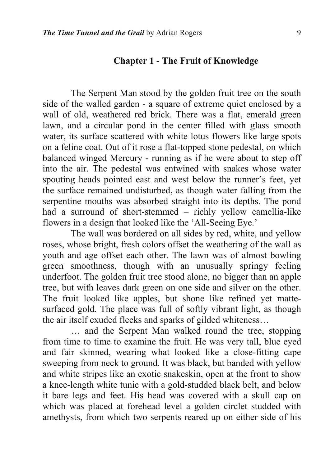## **Chapter 1 - The Fruit of Knowledge**

The Serpent Man stood by the golden fruit tree on the south side of the walled garden - a square of extreme quiet enclosed by a wall of old, weathered red brick. There was a flat, emerald green lawn, and a circular pond in the center filled with glass smooth water, its surface scattered with white lotus flowers like large spots on a feline coat. Out of it rose a flat-topped stone pedestal, on which balanced winged Mercury - running as if he were about to step off into the air. The pedestal was entwined with snakes whose water spouting heads pointed east and west below the runner's feet, yet the surface remained undisturbed, as though water falling from the serpentine mouths was absorbed straight into its depths. The pond had a surround of short-stemmed – richly yellow camellia-like flowers in a design that looked like the 'All-Seeing Eye.'

 The wall was bordered on all sides by red, white, and yellow roses, whose bright, fresh colors offset the weathering of the wall as youth and age offset each other. The lawn was of almost bowling green smoothness, though with an unusually springy feeling underfoot. The golden fruit tree stood alone, no bigger than an apple tree, but with leaves dark green on one side and silver on the other. The fruit looked like apples, but shone like refined yet mattesurfaced gold. The place was full of softly vibrant light, as though the air itself exuded flecks and sparks of gilded whiteness…

… and the Serpent Man walked round the tree, stopping from time to time to examine the fruit. He was very tall, blue eyed and fair skinned, wearing what looked like a close-fitting cape sweeping from neck to ground. It was black, but banded with yellow and white stripes like an exotic snakeskin, open at the front to show a knee-length white tunic with a gold-studded black belt, and below it bare legs and feet. His head was covered with a skull cap on which was placed at forehead level a golden circlet studded with amethysts, from which two serpents reared up on either side of his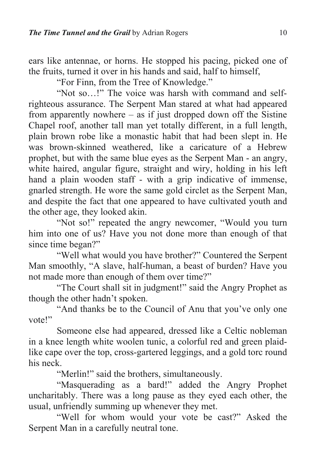ears like antennae, or horns. He stopped his pacing, picked one of the fruits, turned it over in his hands and said, half to himself,

"For Finn, from the Tree of Knowledge."

 "Not so…!" The voice was harsh with command and selfrighteous assurance. The Serpent Man stared at what had appeared from apparently nowhere – as if just dropped down off the Sistine Chapel roof, another tall man yet totally different, in a full length, plain brown robe like a monastic habit that had been slept in. He was brown-skinned weathered, like a caricature of a Hebrew prophet, but with the same blue eyes as the Serpent Man - an angry, white haired, angular figure, straight and wiry, holding in his left hand a plain wooden staff - with a grip indicative of immense, gnarled strength. He wore the same gold circlet as the Serpent Man, and despite the fact that one appeared to have cultivated youth and the other age, they looked akin.

 "Not so!" repeated the angry newcomer, "Would you turn him into one of us? Have you not done more than enough of that since time began?"

"Well what would you have brother?" Countered the Serpent Man smoothly, "A slave, half-human, a beast of burden? Have you not made more than enough of them over time?"

"The Court shall sit in judgment!" said the Angry Prophet as though the other hadn't spoken.

"And thanks be to the Council of Anu that you've only one vote!"

 Someone else had appeared, dressed like a Celtic nobleman in a knee length white woolen tunic, a colorful red and green plaidlike cape over the top, cross-gartered leggings, and a gold torc round his neck.

"Merlin!" said the brothers, simultaneously.

"Masquerading as a bard!" added the Angry Prophet uncharitably. There was a long pause as they eyed each other, the usual, unfriendly summing up whenever they met.

"Well for whom would your vote be cast?" Asked the Serpent Man in a carefully neutral tone.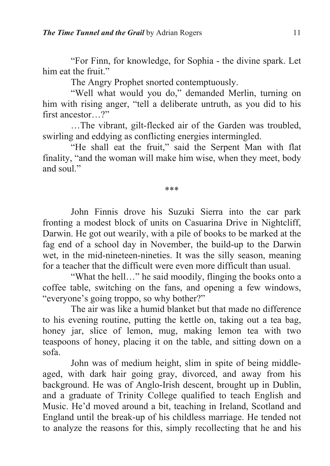"For Finn, for knowledge, for Sophia - the divine spark. Let him eat the fruit."

The Angry Prophet snorted contemptuously.

"Well what would you do," demanded Merlin, turning on him with rising anger, "tell a deliberate untruth, as you did to his first ancestor ?"

…The vibrant, gilt-flecked air of the Garden was troubled, swirling and eddying as conflicting energies intermingled.

"He shall eat the fruit," said the Serpent Man with flat finality, "and the woman will make him wise, when they meet, body and soul."

\*\*\*

John Finnis drove his Suzuki Sierra into the car park fronting a modest block of units on Casuarina Drive in Nightcliff, Darwin. He got out wearily, with a pile of books to be marked at the fag end of a school day in November, the build-up to the Darwin wet, in the mid-nineteen-nineties. It was the silly season, meaning for a teacher that the difficult were even more difficult than usual.

"What the hell…" he said moodily, flinging the books onto a coffee table, switching on the fans, and opening a few windows, "everyone's going troppo, so why bother?"

 The air was like a humid blanket but that made no difference to his evening routine, putting the kettle on, taking out a tea bag, honey jar, slice of lemon, mug, making lemon tea with two teaspoons of honey, placing it on the table, and sitting down on a sofa.

 John was of medium height, slim in spite of being middleaged, with dark hair going gray, divorced, and away from his background. He was of Anglo-Irish descent, brought up in Dublin, and a graduate of Trinity College qualified to teach English and Music. He'd moved around a bit, teaching in Ireland, Scotland and England until the break-up of his childless marriage. He tended not to analyze the reasons for this, simply recollecting that he and his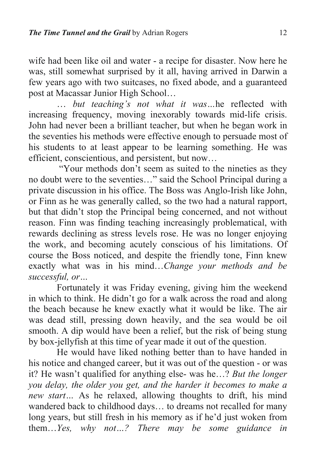wife had been like oil and water - a recipe for disaster. Now here he was, still somewhat surprised by it all, having arrived in Darwin a few years ago with two suitcases, no fixed abode, and a guaranteed post at Macassar Junior High School…

… *but teaching's not what it was…*he reflected with increasing frequency, moving inexorably towards mid-life crisis. John had never been a brilliant teacher, but when he began work in the seventies his methods were effective enough to persuade most of his students to at least appear to be learning something. He was efficient, conscientious, and persistent, but now…

 "Your methods don't seem as suited to the nineties as they no doubt were to the seventies…" said the School Principal during a private discussion in his office. The Boss was Anglo-Irish like John, or Finn as he was generally called, so the two had a natural rapport, but that didn't stop the Principal being concerned, and not without reason. Finn was finding teaching increasingly problematical, with rewards declining as stress levels rose. He was no longer enjoying the work, and becoming acutely conscious of his limitations. Of course the Boss noticed, and despite the friendly tone, Finn knew exactly what was in his mind…*Change your methods and be successful, or…* 

Fortunately it was Friday evening, giving him the weekend in which to think. He didn't go for a walk across the road and along the beach because he knew exactly what it would be like. The air was dead still, pressing down heavily, and the sea would be oil smooth. A dip would have been a relief, but the risk of being stung by box-jellyfish at this time of year made it out of the question.

 He would have liked nothing better than to have handed in his notice and changed career, but it was out of the question - or was it? He wasn't qualified for anything else- was he…? *But the longer you delay, the older you get, and the harder it becomes to make a new start…* As he relaxed, allowing thoughts to drift, his mind wandered back to childhood days… to dreams not recalled for many long years, but still fresh in his memory as if he'd just woken from them…*Yes, why not…? There may be some guidance in*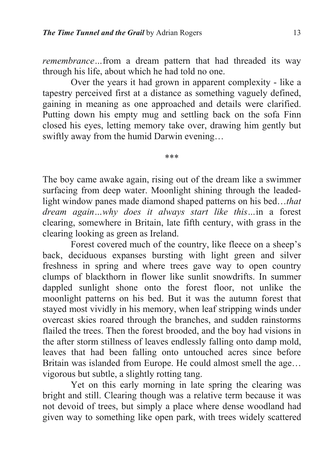*remembrance…*from a dream pattern that had threaded its way through his life, about which he had told no one.

 Over the years it had grown in apparent complexity - like a tapestry perceived first at a distance as something vaguely defined, gaining in meaning as one approached and details were clarified. Putting down his empty mug and settling back on the sofa Finn closed his eyes, letting memory take over, drawing him gently but swiftly away from the humid Darwin evening…

\*\*\*

The boy came awake again, rising out of the dream like a swimmer surfacing from deep water. Moonlight shining through the leadedlight window panes made diamond shaped patterns on his bed…*that dream again…why does it always start like this…*in a forest clearing, somewhere in Britain, late fifth century, with grass in the clearing looking as green as Ireland.

 Forest covered much of the country, like fleece on a sheep's back, deciduous expanses bursting with light green and silver freshness in spring and where trees gave way to open country clumps of blackthorn in flower like sunlit snowdrifts. In summer dappled sunlight shone onto the forest floor, not unlike the moonlight patterns on his bed. But it was the autumn forest that stayed most vividly in his memory, when leaf stripping winds under overcast skies roared through the branches, and sudden rainstorms flailed the trees. Then the forest brooded, and the boy had visions in the after storm stillness of leaves endlessly falling onto damp mold, leaves that had been falling onto untouched acres since before Britain was islanded from Europe. He could almost smell the age… vigorous but subtle, a slightly rotting tang.

 Yet on this early morning in late spring the clearing was bright and still. Clearing though was a relative term because it was not devoid of trees, but simply a place where dense woodland had given way to something like open park, with trees widely scattered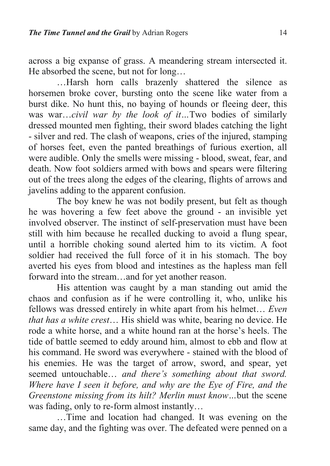across a big expanse of grass. A meandering stream intersected it. He absorbed the scene, but not for long…

…Harsh horn calls brazenly shattered the silence as horsemen broke cover, bursting onto the scene like water from a burst dike. No hunt this, no baying of hounds or fleeing deer, this was war…*civil war by the look of it…*Two bodies of similarly dressed mounted men fighting, their sword blades catching the light - silver and red. The clash of weapons, cries of the injured, stamping of horses feet, even the panted breathings of furious exertion, all were audible. Only the smells were missing - blood, sweat, fear, and death. Now foot soldiers armed with bows and spears were filtering out of the trees along the edges of the clearing, flights of arrows and javelins adding to the apparent confusion.

 The boy knew he was not bodily present, but felt as though he was hovering a few feet above the ground - an invisible yet involved observer. The instinct of self-preservation must have been still with him because he recalled ducking to avoid a flung spear, until a horrible choking sound alerted him to its victim. A foot soldier had received the full force of it in his stomach. The boy averted his eyes from blood and intestines as the hapless man fell forward into the stream…and for yet another reason.

 His attention was caught by a man standing out amid the chaos and confusion as if he were controlling it, who, unlike his fellows was dressed entirely in white apart from his helmet… *Even that has a white crest*… His shield was white, bearing no device. He rode a white horse, and a white hound ran at the horse's heels. The tide of battle seemed to eddy around him, almost to ebb and flow at his command. He sword was everywhere - stained with the blood of his enemies. He was the target of arrow, sword, and spear, yet seemed untouchable… *and there's something about that sword. Where have I seen it before, and why are the Eye of Fire, and the Greenstone missing from its hilt? Merlin must know…*but the scene was fading, only to re-form almost instantly…

…Time and location had changed. It was evening on the same day, and the fighting was over. The defeated were penned on a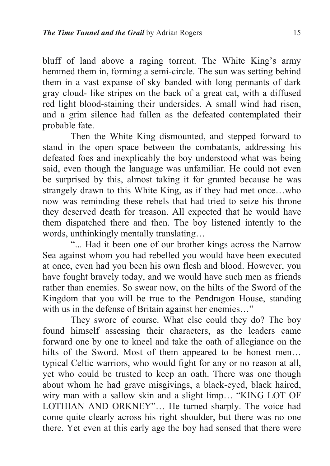bluff of land above a raging torrent. The White King's army hemmed them in, forming a semi-circle. The sun was setting behind them in a vast expanse of sky banded with long pennants of dark gray cloud- like stripes on the back of a great cat, with a diffused red light blood-staining their undersides. A small wind had risen, and a grim silence had fallen as the defeated contemplated their probable fate.

 Then the White King dismounted, and stepped forward to stand in the open space between the combatants, addressing his defeated foes and inexplicably the boy understood what was being said, even though the language was unfamiliar. He could not even be surprised by this, almost taking it for granted because he was strangely drawn to this White King, as if they had met once…who now was reminding these rebels that had tried to seize his throne they deserved death for treason. All expected that he would have them dispatched there and then. The boy listened intently to the words, unthinkingly mentally translating…

"... Had it been one of our brother kings across the Narrow Sea against whom you had rebelled you would have been executed at once, even had you been his own flesh and blood. However, you have fought bravely today, and we would have such men as friends rather than enemies. So swear now, on the hilts of the Sword of the Kingdom that you will be true to the Pendragon House, standing with us in the defense of Britain against her enemies..."

 They swore of course. What else could they do? The boy found himself assessing their characters, as the leaders came forward one by one to kneel and take the oath of allegiance on the hilts of the Sword. Most of them appeared to be honest men... typical Celtic warriors, who would fight for any or no reason at all, yet who could be trusted to keep an oath. There was one though about whom he had grave misgivings, a black-eyed, black haired, wiry man with a sallow skin and a slight limp… "KING LOT OF LOTHIAN AND ORKNEY"… He turned sharply. The voice had come quite clearly across his right shoulder, but there was no one there. Yet even at this early age the boy had sensed that there were